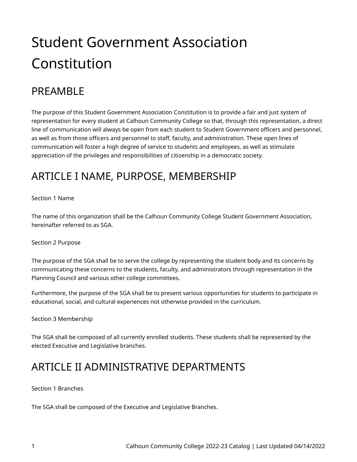# Student Government Association Constitution

# PRFAMBI F

The purpose of this Student Government Association Constitution is to provide a fair and just system of representation for every student at Calhoun Community College so that, through this representation, a direct line of communication will always be open from each student to Student Government officers and personnel, as well as from those officers and personnel to staff, faculty, and administration. These open lines of communication will foster a high degree of service to students and employees, as well as stimulate appreciation of the privileges and responsibilities of citizenship in a democratic society.

### ARTICLE I NAME, PURPOSE, MEMBERSHIP

### Section 1 Name

The name of this organization shall be the Calhoun Community College Student Government Association, hereinafter referred to as SGA.

### Section 2 Purpose

The purpose of the SGA shall be to serve the college by representing the student body and its concerns by communicating these concerns to the students, faculty, and administrators through representation in the Planning Council and various other college committees.

Furthermore, the purpose of the SGA shall be to present various opportunities for students to participate in educational, social, and cultural experiences not otherwise provided in the curriculum.

### Section 3 Membership

The SGA shall be composed of all currently enrolled students. These students shall be represented by the elected Executive and Legislative branches.

### ARTICLE II ADMINISTRATIVE DEPARTMENTS

### Section 1 Branches

The SGA shall be composed of the Executive and Legislative Branches.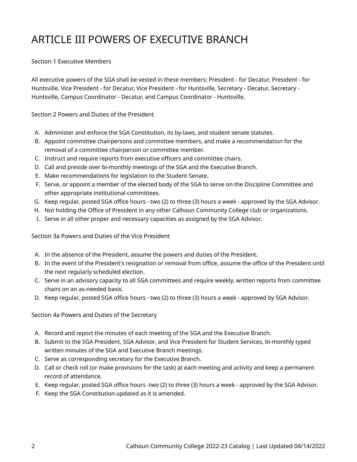# ARTICLE III POWERS OF EXECUTIVE BRANCH

#### Section 1 Executive Members

All executive powers of the SGA shall be vested in these members: President - for Decatur, President - for Huntsville, Vice President - for Decatur, Vice President - for Huntsville, Secretary - Decatur, Secretary - Huntsville, Campus Coordinator - Decatur, and Campus Coordinator - Huntsville.

Section 2 Powers and Duties of the President

- A. Administer and enforce the SGA Constitution, its by-laws, and student senate statutes.
- B. Appoint committee chairpersons and committee members, and make a recommendation for the removal of a committee chairperson or committee member.
- C. Instruct and require reports from executive officers and committee chairs.
- D. Call and preside over bi-monthly meetings of the SGA and the Executive Branch.
- E. Make recommendations for legislation to the Student Senate.
- F. Serve, or appoint a member of the elected body of the SGA to serve on the Discipline Committee and other appropriate institutional committees.
- G. Keep regular, posted SGA office hours two (2) to three (3) hours a week approved by the SGA Advisor.
- H. Not holding the Office of President in any other Calhoun Community College club or organizations.
- I. Serve in all other proper and necessary capacities as assigned by the SGA Advisor.

Section 3a Powers and Duties of the Vice President

- A. In the absence of the President, assume the powers and duties of the President.
- B. In the event of the President's resignation or removal from office, assume the office of the President until the next regularly scheduled election.
- C. Serve in an advisory capacity to all SGA committees and require weekly, written reports from committee chairs on an as-needed basis.
- D. Keep regular, posted SGA office hours two (2) to three (3) hours a week approved by SGA Advisor.

Section 4a Powers and Duties of the Secretary

- A. Record and report the minutes of each meeting of the SGA and the Executive Branch.
- B. Submit to the SGA President, SGA Advisor, and Vice President for Student Services, bi-monthly typed written minutes of the SGA and Executive Branch meetings.
- C. Serve as corresponding secretary for the Executive Branch.
- D. Call or check roll (or make provisions for the task) at each meeting and activity and keep a permanent record of attendance.
- E. Keep regular, posted SGA office hours -two (2) to three (3) hours a week approved by the SGA Advisor.
- F. Keep the SGA Constitution updated as it is amended.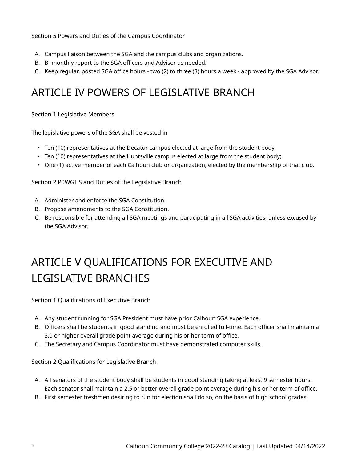Section 5 Powers and Duties of the Campus Coordinator

- A. Campus liaison between the SGA and the campus clubs and organizations.
- B. Bi-monthly report to the SGA officers and Advisor as needed.
- C. Keep regular, posted SGA office hours two (2) to three (3) hours a week approved by the SGA Advisor.

### ARTICLE IV POWERS OF LEGISLATIVE BRANCH

Section 1 Legislative Members

The legislative powers of the SGA shall be vested in

- Ten (10) representatives at the Decatur campus elected at large from the student body;
- Ten (10) representatives at the Huntsville campus elected at large from the student body;
- One (1) active member of each Calhoun club or organization, elected by the membership of that club.

Section 2 P0WGI"S and Duties of the Legislative Branch

- A. Administer and enforce the SGA Constitution.
- B. Propose amendments to the SGA Constitution.
- C. Be responsible for attending all SGA meetings and participating in all SGA activities, unless excused by the SGA Advisor.

# ARTICLE V QUALIFICATIONS FOR EXECUTIVE AND LEGISLATIVE BRANCHES

Section 1 Qualifications of Executive Branch

- A. Any student running for SGA President must have prior Calhoun SGA experience.
- B. Officers shall be students in good standing and must be enrolled full-time. Each officer shall maintain a 3.0 or higher overall grade point average during his or her term of office.
- C. The Secretary and Campus Coordinator must have demonstrated computer skills.

Section 2 Qualifications for Legislative Branch

- A. All senators of the student body shall be students in good standing taking at least 9 semester hours. Each senator shall maintain a 2.5 or better overall grade point average during his or her term of office.
- B. First semester freshmen desiring to run for election shall do so, on the basis of high school grades.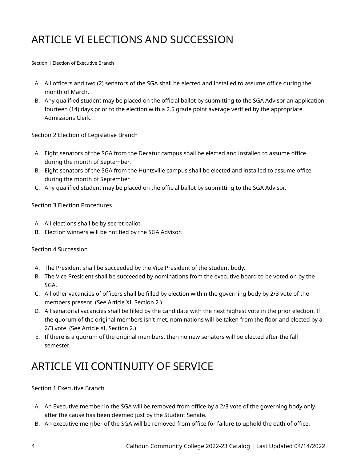# ARTICLE VI ELECTIONS AND SUCCESSION

Section 1 Election of Executive Branch

- A. All officers and two (2) senators of the SGA shall be elected and installed to assume office during the month of March.
- B. Any qualified student may be placed on the official ballot by submitting to the SGA Advisor an application fourteen (14) days prior to the election with a 2.5 grade point average verified by the appropriate Admissions Clerk.

Section 2 Election of Legislative Branch

- A. Eight senators of the SGA from the Decatur campus shall be elected and installed to assume office during the month of September.
- B. Eight senators of the SGA from the Huntsville campus shall be elected and installed to assume office during the month of September
- C. Any qualified student may be placed on the official ballot by submitting to the SGA Advisor.

#### Section 3 Election Procedures

- A. All elections shall be by secret ballot.
- B. Election winners will be notified by the SGA Advisor.

#### Section 4 Succession

- A. The President shall be succeeded by the Vice President of the student body.
- B. The Vice President shall be succeeded by nominations from the executive board to be voted on by the SGA.
- C. All other vacancies of officers shall be filled by election within the governing body by 2/3 vote of the members present. (See Article XI, Section 2.)
- D. All senatorial vacancies shall be filled by the candidate with the next highest vote in the prior election. If the quorum of the original members isn't met, nominations will be taken from the floor and elected by a 2/3 vote. (See Article XI, Section 2.)
- E. If there is a quorum of the original members, then no new senators will be elected after the fall semester.

### ARTICLE VII CONTINUITY OF SERVICE

#### Section 1 Executive Branch

- A. An Executive member in the SGA will be removed from office by a 2/3 vote of the governing body only after the cause has been deemed just by the Student Senate.
- B. An executive member of the SGA will be removed from office for failure to uphold the oath of office.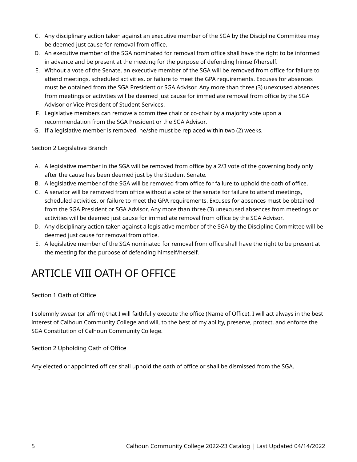- C. Any disciplinary action taken against an executive member of the SGA by the Discipline Committee may be deemed just cause for removal from office.
- D. An executive member of the SGA nominated for removal from office shall have the right to be informed in advance and be present at the meeting for the purpose of defending himself/herself.
- E. Without a vote of the Senate, an executive member of the SGA will be removed from office for failure to attend meetings, scheduled activities, or failure to meet the GPA requirements. Excuses for absences must be obtained from the SGA President or SGA Advisor. Any more than three (3) unexcused absences from meetings or activities will be deemed just cause for immediate removal from office by the SGA Advisor or Vice President of Student Services.
- F. Legislative members can remove a committee chair or co-chair by a majority vote upon a recommendation from the SGA President or the SGA Advisor.
- G. If a legislative member is removed, he/she must be replaced within two (2) weeks.

Section 2 Legislative Branch

- A. A legislative member in the SGA will be removed from office by a 2/3 vote of the governing body only after the cause has been deemed just by the Student Senate.
- B. A legislative member of the SGA will be removed from office for failure to uphold the oath of office.
- C. A senator will be removed from office without a vote of the senate for failure to attend meetings, scheduled activities, or failure to meet the GPA requirements. Excuses for absences must be obtained from the SGA President or SGA Advisor. Any more than three (3) unexcused absences from meetings or activities will be deemed just cause for immediate removal from office by the SGA Advisor.
- D. Any disciplinary action taken against a legislative member of the SGA by the Discipline Committee will be deemed just cause for removal from office.
- E. A legislative member of the SGA nominated for removal from office shall have the right to be present at the meeting for the purpose of defending himself/herself.

# ARTICLE VIII OATH OF OFFICE

Section 1 Oath of Office

I solemnly swear (or affirm) that I will faithfully execute the office (Name of Office). I will act always in the best interest of Calhoun Community College and will, to the best of my ability, preserve, protect, and enforce the SGA Constitution of Calhoun Community College.

Section 2 Upholding Oath of Office

Any elected or appointed officer shall uphold the oath of office or shall be dismissed from the SGA.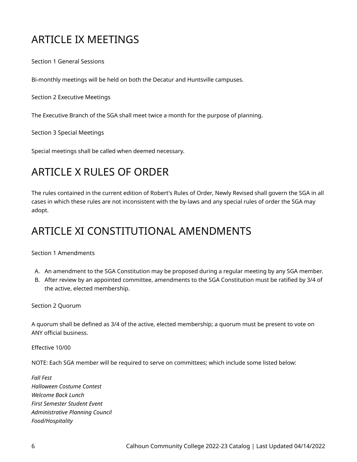## ARTICLE IX MEETINGS

Section 1 General Sessions

Bi-monthly meetings will be held on both the Decatur and Huntsville campuses.

Section 2 Executive Meetings

The Executive Branch of the SGA shall meet twice a month for the purpose of planning.

Section 3 Special Meetings

Special meetings shall be called when deemed necessary.

### ARTICLE X RULES OF ORDER

The rules contained in the current edition of Robert's Rules of Order, Newly Revised shall govern the SGA in all cases in which these rules are not inconsistent with the by-laws and any special rules of order the SGA may adopt.

### ARTICLE XI CONSTITUTIONAL AMENDMENTS

Section 1 Amendments

- A. An amendment to the SGA Constitution may be proposed during a regular meeting by any SGA member.
- B. After review by an appointed committee, amendments to the SGA Constitution must be ratified by 3/4 of the active, elected membership.

Section 2 Quorum

A quorum shall be defined as 3/4 of the active, elected membership; a quorum must be present to vote on ANY official business.

Effective 10/00

NOTE: Each SGA member will be required to serve on committees; which include some listed below:

*Fall Fest Halloween Costume Contest Welcome Back Lunch First Semester Student Event Administrative Planning Council Food/Hospitality*